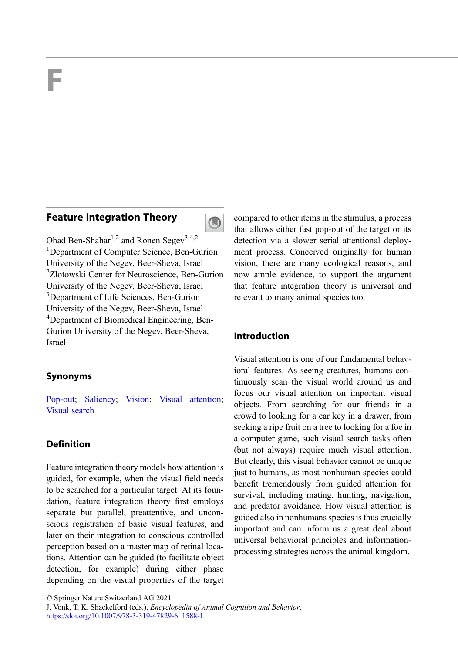# F

# Feature Integration Theory



Ohad Ben-Shahar<sup>1,2</sup> and Ronen Segev<sup>3,4,2</sup> <sup>1</sup>Department of Computer Science, Ben-Gurion University of the Negev, Beer-Sheva, Israel 2 Zlotowski Center for Neuroscience, Ben-Gurion University of the Negev, Beer-Sheva, Israel <sup>3</sup>Department of Life Sciences, Ben-Gurion University of the Negev, Beer-Sheva, Israel 4 Department of Biomedical Engineering, Ben-Gurion University of the Negev, Beer-Sheva, Israel

# Synonyms

[Pop-out](http://link.springer.com/search?facet-eisbn=978-3-319-47829-6&facet-content-type=ReferenceWorkEntry&query=Pop-out); [Saliency;](http://link.springer.com/search?facet-eisbn=978-3-319-47829-6&facet-content-type=ReferenceWorkEntry&query=Saliency) [Vision;](http://link.springer.com/search?facet-eisbn=978-3-319-47829-6&facet-content-type=ReferenceWorkEntry&query=Vision) [Visual attention;](http://link.springer.com/search?facet-eisbn=978-3-319-47829-6&facet-content-type=ReferenceWorkEntry&query=Visual attention) [Visual search](http://link.springer.com/search?facet-eisbn=978-3-319-47829-6&facet-content-type=ReferenceWorkEntry&query=Visual search)

# Definition

Feature integration theory models how attention is guided, for example, when the visual field needs to be searched for a particular target. At its foundation, feature integration theory first employs separate but parallel, preattentive, and unconscious registration of basic visual features, and later on their integration to conscious controlled perception based on a master map of retinal locations. Attention can be guided (to facilitate object detection, for example) during either phase depending on the visual properties of the target compared to other items in the stimulus, a process that allows either fast pop-out of the target or its detection via a slower serial attentional deployment process. Conceived originally for human vision, there are many ecological reasons, and now ample evidence, to support the argument that feature integration theory is universal and relevant to many animal species too.

## Introduction

Visual attention is one of our fundamental behavioral features. As seeing creatures, humans continuously scan the visual world around us and focus our visual attention on important visual objects. From searching for our friends in a crowd to looking for a car key in a drawer, from seeking a ripe fruit on a tree to looking for a foe in a computer game, such visual search tasks often (but not always) require much visual attention. But clearly, this visual behavior cannot be unique just to humans, as most nonhuman species could benefit tremendously from guided attention for survival, including mating, hunting, navigation, and predator avoidance. How visual attention is guided also in nonhumans species is thus crucially important and can inform us a great deal about universal behavioral principles and informationprocessing strategies across the animal kingdom.

<sup>©</sup> Springer Nature Switzerland AG 2021

J. Vonk, T. K. Shackelford (eds.), Encyclopedia of Animal Cognition and Behavior, [https://doi.org/10.1007/978-3-319-47829-6\\_1588-1](https://doi.org/10.1007/978-3-319-47829-6_1588-1)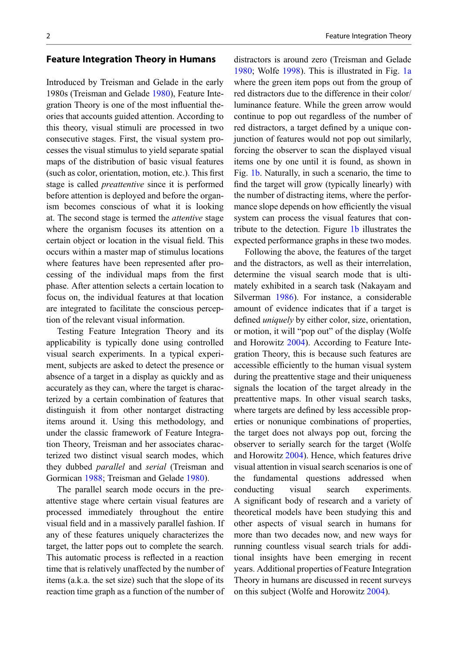#### Feature Integration Theory in Humans

Introduced by Treisman and Gelade in the early 1980s (Treisman and Gelade [1980\)](#page-10-0), Feature Integration Theory is one of the most influential theories that accounts guided attention. According to this theory, visual stimuli are processed in two consecutive stages. First, the visual system processes the visual stimulus to yield separate spatial maps of the distribution of basic visual features (such as color, orientation, motion, etc.). This first stage is called preattentive since it is performed before attention is deployed and before the organism becomes conscious of what it is looking at. The second stage is termed the attentive stage where the organism focuses its attention on a certain object or location in the visual field. This occurs within a master map of stimulus locations where features have been represented after processing of the individual maps from the first phase. After attention selects a certain location to focus on, the individual features at that location are integrated to facilitate the conscious perception of the relevant visual information.

Testing Feature Integration Theory and its applicability is typically done using controlled visual search experiments. In a typical experiment, subjects are asked to detect the presence or absence of a target in a display as quickly and as accurately as they can, where the target is characterized by a certain combination of features that distinguish it from other nontarget distracting items around it. Using this methodology, and under the classic framework of Feature Integration Theory, Treisman and her associates characterized two distinct visual search modes, which they dubbed parallel and serial (Treisman and Gormican [1988](#page-10-0); Treisman and Gelade [1980](#page-10-0)).

The parallel search mode occurs in the preattentive stage where certain visual features are processed immediately throughout the entire visual field and in a massively parallel fashion. If any of these features uniquely characterizes the target, the latter pops out to complete the search. This automatic process is reflected in a reaction time that is relatively unaffected by the number of items (a.k.a. the set size) such that the slope of its reaction time graph as a function of the number of distractors is around zero (Treisman and Gelade [1980;](#page-10-0) Wolfe [1998](#page-10-0)). This is illustrated in Fig. [1a](#page-2-0) where the green item pops out from the group of red distractors due to the difference in their color/ luminance feature. While the green arrow would continue to pop out regardless of the number of red distractors, a target defined by a unique conjunction of features would not pop out similarly, forcing the observer to scan the displayed visual items one by one until it is found, as shown in Fig. [1b](#page-2-0). Naturally, in such a scenario, the time to find the target will grow (typically linearly) with the number of distracting items, where the performance slope depends on how efficiently the visual system can process the visual features that contribute to the detection. Figure [1b](#page-2-0) illustrates the expected performance graphs in these two modes.

Following the above, the features of the target and the distractors, as well as their interrelation, determine the visual search mode that is ultimately exhibited in a search task (Nakayam and Silverman [1986\)](#page-10-0). For instance, a considerable amount of evidence indicates that if a target is defined *uniquely* by either color, size, orientation, or motion, it will "pop out" of the display (Wolfe and Horowitz [2004](#page-10-0)). According to Feature Integration Theory, this is because such features are accessible efficiently to the human visual system during the preattentive stage and their uniqueness signals the location of the target already in the preattentive maps. In other visual search tasks, where targets are defined by less accessible properties or nonunique combinations of properties, the target does not always pop out, forcing the observer to serially search for the target (Wolfe and Horowitz [2004\)](#page-10-0). Hence, which features drive visual attention in visual search scenarios is one of the fundamental questions addressed when conducting visual search experiments. A significant body of research and a variety of theoretical models have been studying this and other aspects of visual search in humans for more than two decades now, and new ways for running countless visual search trials for additional insights have been emerging in recent years. Additional properties of Feature Integration Theory in humans are discussed in recent surveys on this subject (Wolfe and Horowitz [2004](#page-10-0)).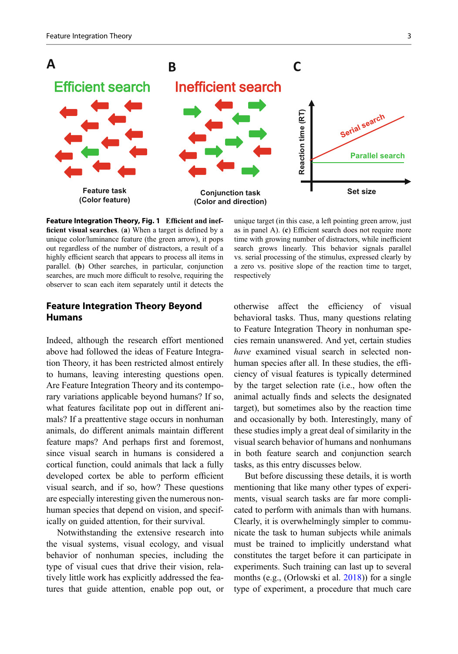<span id="page-2-0"></span>

Feature Integration Theory, Fig. 1 Efficient and inefficient visual searches. (a) When a target is defined by a unique color/luminance feature (the green arrow), it pops out regardless of the number of distractors, a result of a highly efficient search that appears to process all items in parallel. (b) Other searches, in particular, conjunction searches, are much more difficult to resolve, requiring the observer to scan each item separately until it detects the

## Feature Integration Theory Beyond Humans

Indeed, although the research effort mentioned above had followed the ideas of Feature Integration Theory, it has been restricted almost entirely to humans, leaving interesting questions open. Are Feature Integration Theory and its contemporary variations applicable beyond humans? If so, what features facilitate pop out in different animals? If a preattentive stage occurs in nonhuman animals, do different animals maintain different feature maps? And perhaps first and foremost, since visual search in humans is considered a cortical function, could animals that lack a fully developed cortex be able to perform efficient visual search, and if so, how? These questions are especially interesting given the numerous nonhuman species that depend on vision, and specifically on guided attention, for their survival.

Notwithstanding the extensive research into the visual systems, visual ecology, and visual behavior of nonhuman species, including the type of visual cues that drive their vision, relatively little work has explicitly addressed the features that guide attention, enable pop out, or

unique target (in this case, a left pointing green arrow, just as in panel A). (c) Efficient search does not require more time with growing number of distractors, while inefficient search grows linearly. This behavior signals parallel vs. serial processing of the stimulus, expressed clearly by a zero vs. positive slope of the reaction time to target, respectively

otherwise affect the efficiency of visual behavioral tasks. Thus, many questions relating to Feature Integration Theory in nonhuman species remain unanswered. And yet, certain studies have examined visual search in selected nonhuman species after all. In these studies, the efficiency of visual features is typically determined by the target selection rate (i.e., how often the animal actually finds and selects the designated target), but sometimes also by the reaction time and occasionally by both. Interestingly, many of these studies imply a great deal of similarity in the visual search behavior of humans and nonhumans in both feature search and conjunction search tasks, as this entry discusses below.

But before discussing these details, it is worth mentioning that like many other types of experiments, visual search tasks are far more complicated to perform with animals than with humans. Clearly, it is overwhelmingly simpler to communicate the task to human subjects while animals must be trained to implicitly understand what constitutes the target before it can participate in experiments. Such training can last up to several months (e.g., (Orlowski et al. [2018\)](#page-10-0)) for a single type of experiment, a procedure that much care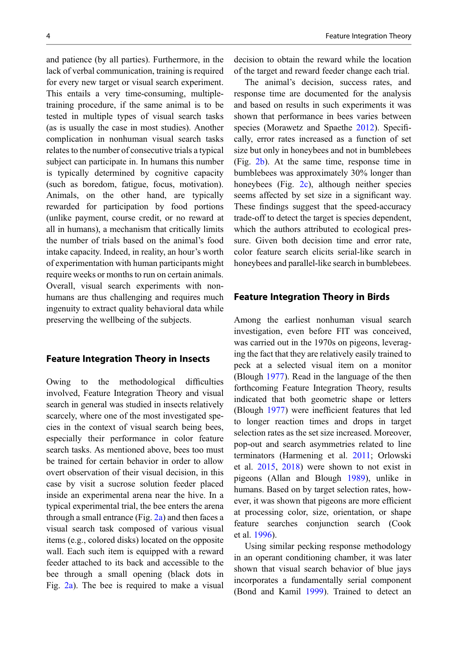and patience (by all parties). Furthermore, in the lack of verbal communication, training is required for every new target or visual search experiment. This entails a very time-consuming, multipletraining procedure, if the same animal is to be tested in multiple types of visual search tasks (as is usually the case in most studies). Another complication in nonhuman visual search tasks relates to the number of consecutive trials a typical subject can participate in. In humans this number is typically determined by cognitive capacity (such as boredom, fatigue, focus, motivation). Animals, on the other hand, are typically rewarded for participation by food portions (unlike payment, course credit, or no reward at all in humans), a mechanism that critically limits the number of trials based on the animal's food intake capacity. Indeed, in reality, an hour's worth of experimentation with human participants might require weeks or months to run on certain animals. Overall, visual search experiments with nonhumans are thus challenging and requires much ingenuity to extract quality behavioral data while preserving the wellbeing of the subjects.

## Feature Integration Theory in Insects

Owing to the methodological difficulties involved, Feature Integration Theory and visual search in general was studied in insects relatively scarcely, where one of the most investigated species in the context of visual search being bees, especially their performance in color feature search tasks. As mentioned above, bees too must be trained for certain behavior in order to allow overt observation of their visual decision, in this case by visit a sucrose solution feeder placed inside an experimental arena near the hive. In a typical experimental trial, the bee enters the arena through a small entrance (Fig.  $2a$ ) and then faces a visual search task composed of various visual items (e.g., colored disks) located on the opposite wall. Each such item is equipped with a reward feeder attached to its back and accessible to the bee through a small opening (black dots in Fig. [2a](#page-4-0)). The bee is required to make a visual

decision to obtain the reward while the location of the target and reward feeder change each trial.

The animal's decision, success rates, and response time are documented for the analysis and based on results in such experiments it was shown that performance in bees varies between species (Morawetz and Spaethe [2012\)](#page-10-0). Specifically, error rates increased as a function of set size but only in honeybees and not in bumblebees (Fig. [2b\)](#page-4-0). At the same time, response time in bumblebees was approximately 30% longer than honeybees (Fig. [2c\)](#page-4-0), although neither species seems affected by set size in a significant way. These findings suggest that the speed-accuracy trade-off to detect the target is species dependent, which the authors attributed to ecological pressure. Given both decision time and error rate, color feature search elicits serial-like search in honeybees and parallel-like search in bumblebees.

#### Feature Integration Theory in Birds

Among the earliest nonhuman visual search investigation, even before FIT was conceived, was carried out in the 1970s on pigeons, leveraging the fact that they are relatively easily trained to peck at a selected visual item on a monitor (Blough [1977](#page-9-0)). Read in the language of the then forthcoming Feature Integration Theory, results indicated that both geometric shape or letters (Blough [1977](#page-9-0)) were inefficient features that led to longer reaction times and drops in target selection rates as the set size increased. Moreover, pop-out and search asymmetries related to line terminators (Harmening et al. [2011;](#page-9-0) Orlowski et al. [2015,](#page-10-0) [2018\)](#page-10-0) were shown to not exist in pigeons (Allan and Blough [1989\)](#page-9-0), unlike in humans. Based on by target selection rates, however, it was shown that pigeons are more efficient at processing color, size, orientation, or shape feature searches conjunction search (Cook et al. [1996\)](#page-9-0).

Using similar pecking response methodology in an operant conditioning chamber, it was later shown that visual search behavior of blue jays incorporates a fundamentally serial component (Bond and Kamil [1999\)](#page-9-0). Trained to detect an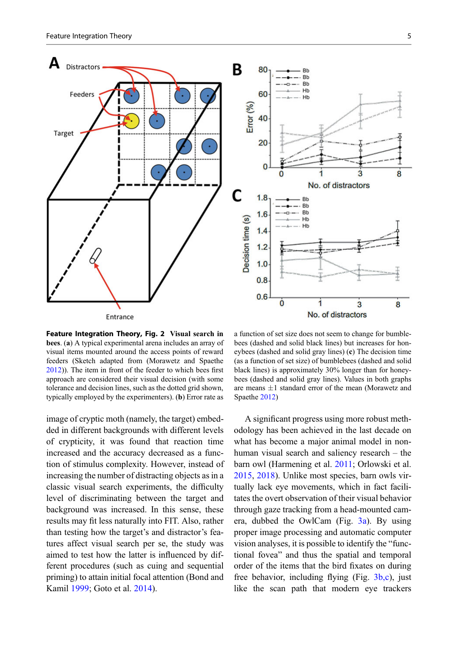<span id="page-4-0"></span>

Feature Integration Theory, Fig. 2 Visual search in bees. (a) A typical experimental arena includes an array of visual items mounted around the access points of reward feeders (Sketch adapted from (Morawetz and Spaethe [2012\)](#page-10-0)). The item in front of the feeder to which bees first approach are considered their visual decision (with some tolerance and decision lines, such as the dotted grid shown, typically employed by the experimenters). (b) Error rate as

image of cryptic moth (namely, the target) embedded in different backgrounds with different levels of crypticity, it was found that reaction time increased and the accuracy decreased as a function of stimulus complexity. However, instead of increasing the number of distracting objects as in a classic visual search experiments, the difficulty level of discriminating between the target and background was increased. In this sense, these results may fit less naturally into FIT. Also, rather than testing how the target's and distractor's features affect visual search per se, the study was aimed to test how the latter is influenced by different procedures (such as cuing and sequential priming) to attain initial focal attention (Bond and Kamil [1999](#page-9-0); Goto et al. [2014\)](#page-9-0).

a function of set size does not seem to change for bumblebees (dashed and solid black lines) but increases for honeybees (dashed and solid gray lines) (c) The decision time (as a function of set size) of bumblebees (dashed and solid black lines) is approximately 30% longer than for honeybees (dashed and solid gray lines). Values in both graphs are means  $\pm 1$  standard error of the mean (Morawetz and Spaethe [2012\)](#page-10-0)

A significant progress using more robust methodology has been achieved in the last decade on what has become a major animal model in nonhuman visual search and saliency research – the barn owl (Harmening et al. [2011;](#page-9-0) Orlowski et al. [2015,](#page-10-0) [2018](#page-10-0)). Unlike most species, barn owls virtually lack eye movements, which in fact facilitates the overt observation of their visual behavior through gaze tracking from a head-mounted camera, dubbed the OwlCam (Fig.  $3a$ ). By using proper image processing and automatic computer vision analyses, it is possible to identify the "functional fovea" and thus the spatial and temporal order of the items that the bird fixates on during free behavior, including flying (Fig. [3b,c](#page-5-0)), just like the scan path that modern eye trackers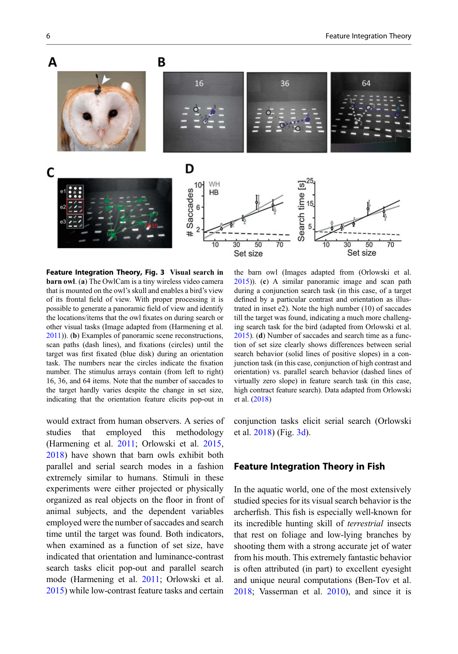<span id="page-5-0"></span>

Feature Integration Theory, Fig. 3 Visual search in barn owl. (a) The OwlCam is a tiny wireless video camera that is mounted on the owl's skull and enables a bird's view of its frontal field of view. With proper processing it is possible to generate a panoramic field of view and identify the locations/items that the owl fixates on during search or other visual tasks (Image adapted from (Harmening et al. [2011\)](#page-9-0)). (b) Examples of panoramic scene reconstructions, scan paths (dash lines), and fixations (circles) until the target was first fixated (blue disk) during an orientation task. The numbers near the circles indicate the fixation number. The stimulus arrays contain (from left to right) 16, 36, and 64 items. Note that the number of saccades to the target hardly varies despite the change in set size, indicating that the orientation feature elicits pop-out in

would extract from human observers. A series of studies that employed this methodology (Harmening et al. [2011](#page-9-0); Orlowski et al. [2015](#page-10-0), [2018\)](#page-10-0) have shown that barn owls exhibit both parallel and serial search modes in a fashion extremely similar to humans. Stimuli in these experiments were either projected or physically organized as real objects on the floor in front of animal subjects, and the dependent variables employed were the number of saccades and search time until the target was found. Both indicators, when examined as a function of set size, have indicated that orientation and luminance-contrast search tasks elicit pop-out and parallel search mode (Harmening et al. [2011](#page-9-0); Orlowski et al. [2015\)](#page-10-0) while low-contrast feature tasks and certain

the barn owl (Images adapted from (Orlowski et al. [2015](#page-10-0))). (c) A similar panoramic image and scan path during a conjunction search task (in this case, of a target defined by a particular contrast and orientation as illustrated in inset e2). Note the high number (10) of saccades till the target was found, indicating a much more challenging search task for the bird (adapted from Orlowski et al. [2015](#page-10-0)). (d) Number of saccades and search time as a function of set size clearly shows differences between serial search behavior (solid lines of positive slopes) in a conjunction task (in this case, conjunction of high contrast and orientation) vs. parallel search behavior (dashed lines of virtually zero slope) in feature search task (in this case, high contract feature search). Data adapted from Orlowski et al. [\(2018](#page-10-0))

conjunction tasks elicit serial search (Orlowski et al. [2018\)](#page-10-0) (Fig. 3d).

#### Feature Integration Theory in Fish

In the aquatic world, one of the most extensively studied species for its visual search behavior is the archerfish. This fish is especially well-known for its incredible hunting skill of terrestrial insects that rest on foliage and low-lying branches by shooting them with a strong accurate jet of water from his mouth. This extremely fantastic behavior is often attributed (in part) to excellent eyesight and unique neural computations (Ben-Tov et al. [2018;](#page-9-0) Vasserman et al. [2010\)](#page-10-0), and since it is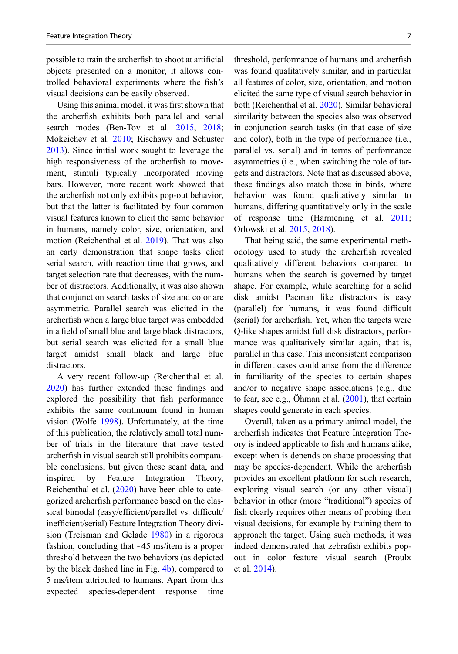possible to train the archerfish to shoot at artificial objects presented on a monitor, it allows controlled behavioral experiments where the fish's visual decisions can be easily observed.

Using this animal model, it was first shown that the archerfish exhibits both parallel and serial search modes (Ben-Tov et al. [2015,](#page-9-0) [2018;](#page-9-0) Mokeichev et al. [2010](#page-10-0); Rischawy and Schuster [2013\)](#page-10-0). Since initial work sought to leverage the high responsiveness of the archerfish to movement, stimuli typically incorporated moving bars. However, more recent work showed that the archerfish not only exhibits pop-out behavior, but that the latter is facilitated by four common visual features known to elicit the same behavior in humans, namely color, size, orientation, and motion (Reichenthal et al. [2019\)](#page-10-0). That was also an early demonstration that shape tasks elicit serial search, with reaction time that grows, and target selection rate that decreases, with the number of distractors. Additionally, it was also shown that conjunction search tasks of size and color are asymmetric. Parallel search was elicited in the archerfish when a large blue target was embedded in a field of small blue and large black distractors, but serial search was elicited for a small blue target amidst small black and large blue distractors.

A very recent follow-up (Reichenthal et al. [2020\)](#page-10-0) has further extended these findings and explored the possibility that fish performance exhibits the same continuum found in human vision (Wolfe [1998\)](#page-10-0). Unfortunately, at the time of this publication, the relatively small total number of trials in the literature that have tested archerfish in visual search still prohibits comparable conclusions, but given these scant data, and inspired by Feature Integration Theory, Reichenthal et al. [\(2020](#page-10-0)) have been able to categorized archerfish performance based on the classical bimodal (easy/efficient/parallel vs. difficult/ inefficient/serial) Feature Integration Theory division (Treisman and Gelade [1980](#page-10-0)) in a rigorous fashion, concluding that ~45 ms/item is a proper threshold between the two behaviors (as depicted by the black dashed line in Fig. [4b\)](#page-7-0), compared to 5 ms/item attributed to humans. Apart from this expected species-dependent response time threshold, performance of humans and archerfish was found qualitatively similar, and in particular all features of color, size, orientation, and motion elicited the same type of visual search behavior in both (Reichenthal et al. [2020](#page-10-0)). Similar behavioral similarity between the species also was observed in conjunction search tasks (in that case of size and color), both in the type of performance (i.e., parallel vs. serial) and in terms of performance asymmetries (i.e., when switching the role of targets and distractors. Note that as discussed above, these findings also match those in birds, where behavior was found qualitatively similar to humans, differing quantitatively only in the scale of response time (Harmening et al. [2011;](#page-9-0) Orlowski et al. [2015](#page-10-0), [2018](#page-10-0)).

That being said, the same experimental methodology used to study the archerfish revealed qualitatively different behaviors compared to humans when the search is governed by target shape. For example, while searching for a solid disk amidst Pacman like distractors is easy (parallel) for humans, it was found difficult (serial) for archerfish. Yet, when the targets were Q-like shapes amidst full disk distractors, performance was qualitatively similar again, that is, parallel in this case. This inconsistent comparison in different cases could arise from the difference in familiarity of the species to certain shapes and/or to negative shape associations (e.g., due to fear, see e.g., Öhman et al.  $(2001)$  $(2001)$ , that certain shapes could generate in each species.

Overall, taken as a primary animal model, the archerfish indicates that Feature Integration Theory is indeed applicable to fish and humans alike, except when is depends on shape processing that may be species-dependent. While the archerfish provides an excellent platform for such research, exploring visual search (or any other visual) behavior in other (more "traditional") species of fish clearly requires other means of probing their visual decisions, for example by training them to approach the target. Using such methods, it was indeed demonstrated that zebrafish exhibits popout in color feature visual search (Proulx et al. [2014\)](#page-10-0).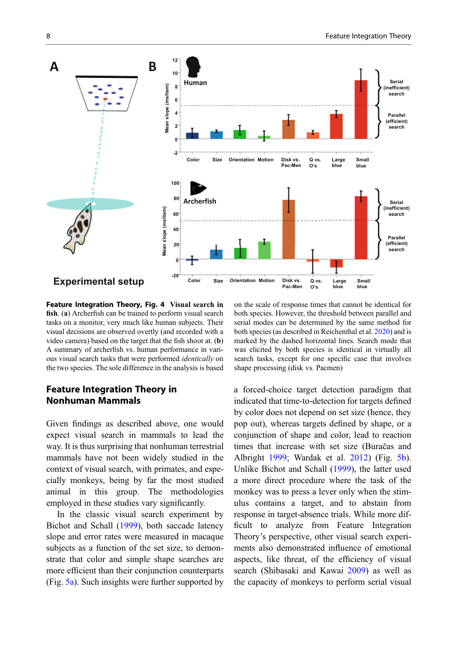<span id="page-7-0"></span>

Feature Integration Theory, Fig. 4 Visual search in fish. (a) Archerfish can be trained to perform visual search tasks on a monitor, very much like human subjects. Their visual decisions are observed overtly (and recorded with a video camera) based on the target that the fish shoot at. (b) A summary of archerfish vs. human performance in various visual search tasks that were performed identically on the two species. The sole difference in the analysis is based

# Feature Integration Theory in Nonhuman Mammals

Given findings as described above, one would expect visual search in mammals to lead the way. It is thus surprising that nonhuman terrestrial mammals have not been widely studied in the context of visual search, with primates, and especially monkeys, being by far the most studied animal in this group. The methodologies employed in these studies vary significantly.

In the classic visual search experiment by Bichot and Schall ([1999\)](#page-9-0), both saccade latency slope and error rates were measured in macaque subjects as a function of the set size, to demonstrate that color and simple shape searches are more efficient than their conjunction counterparts (Fig. [5a\)](#page-8-0). Such insights were further supported by

on the scale of response times that cannot be identical for both species. However, the threshold between parallel and serial modes can be determined by the same method for both species (as described in Reichenthal et al. [2020\)](#page-10-0) and is marked by the dashed horizontal lines. Search mode that was elicited by both species is identical in virtually all search tasks, except for one specific case that involves shape processing (disk vs. Pacmen)

a forced-choice target detection paradigm that indicated that time-to-detection for targets defined by color does not depend on set size (hence, they pop out), whereas targets defined by shape, or a conjunction of shape and color, lead to reaction times that increase with set size (Buračas and Albright [1999](#page-9-0); Wardak et al. [2012\)](#page-10-0) (Fig. [5b\)](#page-8-0). Unlike Bichot and Schall [\(1999](#page-9-0)), the latter used a more direct procedure where the task of the monkey was to press a lever only when the stimulus contains a target, and to abstain from response in target-absence trials. While more difficult to analyze from Feature Integration Theory's perspective, other visual search experiments also demonstrated influence of emotional aspects, like threat, of the efficiency of visual search (Shibasaki and Kawai [2009](#page-10-0)) as well as the capacity of monkeys to perform serial visual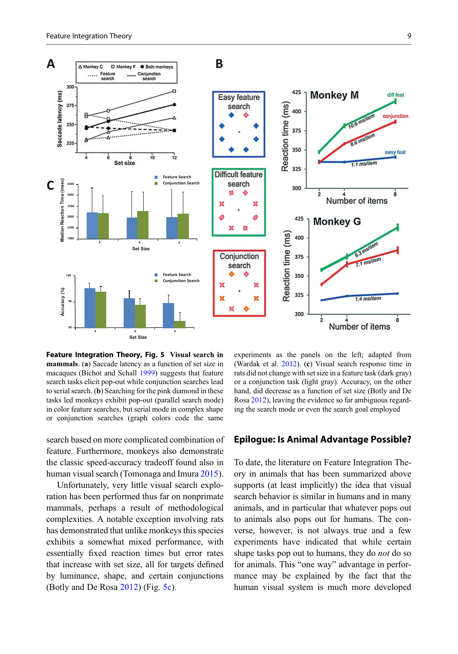<span id="page-8-0"></span>

Feature Integration Theory, Fig. 5 Visual search in mammals. (a) Saccade latency as a function of set size in macaques (Bichot and Schall [1999\)](#page-9-0) suggests that feature search tasks elicit pop-out while conjunction searches lead to serial search. (b) Searching for the pink diamond in these tasks led monkeys exhibit pop-out (parallel search mode) in color feature searches, but serial mode in complex shape or conjunction searches (graph colors code the same

search based on more complicated combination of feature. Furthermore, monkeys also demonstrate the classic speed-accuracy tradeoff found also in human visual search (Tomonaga and Imura [2015\)](#page-10-0).

Unfortunately, very little visual search exploration has been performed thus far on nonprimate mammals, perhaps a result of methodological complexities. A notable exception involving rats has demonstrated that unlike monkeys this species exhibits a somewhat mixed performance, with essentially fixed reaction times but error rates that increase with set size, all for targets defined by luminance, shape, and certain conjunctions (Botly and De Rosa [2012](#page-9-0)) (Fig. 5c).

experiments as the panels on the left; adapted from (Wardak et al. [2012](#page-10-0)). (c) Visual search response time in rats did not change with set size in a feature task (dark gray) or a conjunction task (light gray). Accuracy, on the other hand, did decrease as a function of set size (Botly and De Rosa [2012\)](#page-9-0), leaving the evidence so far ambiguous regarding the search mode or even the search goal employed

### Epilogue: Is Animal Advantage Possible?

To date, the literature on Feature Integration Theory in animals that has been summarized above supports (at least implicitly) the idea that visual search behavior is similar in humans and in many animals, and in particular that whatever pops out to animals also pops out for humans. The converse, however, is not always true and a few experiments have indicated that while certain shape tasks pop out to humans, they do *not* do so for animals. This "one way" advantage in performance may be explained by the fact that the human visual system is much more developed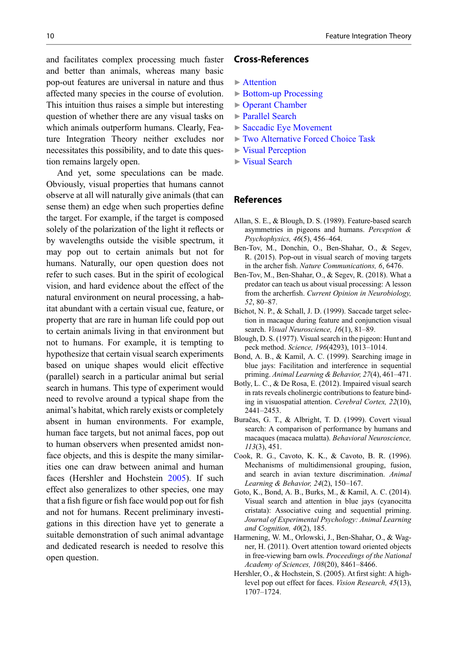<span id="page-9-0"></span>and facilitates complex processing much faster and better than animals, whereas many basic pop-out features are universal in nature and thus affected many species in the course of evolution. This intuition thus raises a simple but interesting question of whether there are any visual tasks on

which animals outperform humans. Clearly, Feature Integration Theory neither excludes nor necessitates this possibility, and to date this question remains largely open.

And yet, some speculations can be made. Obviously, visual properties that humans cannot observe at all will naturally give animals (that can sense them) an edge when such properties define the target. For example, if the target is composed solely of the polarization of the light it reflects or by wavelengths outside the visible spectrum, it may pop out to certain animals but not for humans. Naturally, our open question does not refer to such cases. But in the spirit of ecological vision, and hard evidence about the effect of the natural environment on neural processing, a habitat abundant with a certain visual cue, feature, or property that are rare in human life could pop out to certain animals living in that environment but not to humans. For example, it is tempting to hypothesize that certain visual search experiments based on unique shapes would elicit effective (parallel) search in a particular animal but serial search in humans. This type of experiment would need to revolve around a typical shape from the animal's habitat, which rarely exists or completely absent in human environments. For example, human face targets, but not animal faces, pop out to human observers when presented amidst nonface objects, and this is despite the many similarities one can draw between animal and human faces (Hershler and Hochstein 2005). If such effect also generalizes to other species, one may that a fish figure or fish face would pop out for fish and not for humans. Recent preliminary investigations in this direction have yet to generate a suitable demonstration of such animal advantage and dedicated research is needed to resolve this open question.

## Cross-References

- $\blacktriangleright$  [Attention](http://link.springer.com/search?facet-eisbn=978-3-319-47829-6&facet-content-type=ReferenceWorkEntry&query=Attention)
- ▶ [Bottom-up Processing](http://link.springer.com/search?facet-eisbn=978-3-319-47829-6&facet-content-type=ReferenceWorkEntry&query=Bottom-up Processing)
- ▶ [Operant Chamber](http://link.springer.com/search?facet-eisbn=978-3-319-47829-6&facet-content-type=ReferenceWorkEntry&query=Operant Chamber)
- ▶ [Parallel Search](http://link.springer.com/search?facet-eisbn=978-3-319-47829-6&facet-content-type=ReferenceWorkEntry&query=Parallel Search)
- ▶ [Saccadic Eye Movement](http://link.springer.com/search?facet-eisbn=978-3-319-47829-6&facet-content-type=ReferenceWorkEntry&query=Saccadic Eye Movement)
- ▶ [Two Alternative Forced Choice Task](http://link.springer.com/search?facet-eisbn=978-3-319-47829-6&facet-content-type=ReferenceWorkEntry&query=Two Alternative Forced Choice Task)
- ▶ [Visual Perception](http://link.springer.com/search?facet-eisbn=978-3-319-47829-6&facet-content-type=ReferenceWorkEntry&query=Visual Perception)
- ▶ [Visual Search](http://link.springer.com/search?facet-eisbn=978-3-319-47829-6&facet-content-type=ReferenceWorkEntry&query=Visual Search)

#### References

- Allan, S. E., & Blough, D. S. (1989). Feature-based search asymmetries in pigeons and humans. Perception & Psychophysics, 46(5), 456–464.
- Ben-Tov, M., Donchin, O., Ben-Shahar, O., & Segev, R. (2015). Pop-out in visual search of moving targets in the archer fish. Nature Communications, 6, 6476.
- Ben-Tov, M., Ben-Shahar, O., & Segev, R. (2018). What a predator can teach us about visual processing: A lesson from the archerfish. Current Opinion in Neurobiology, 52, 80–87.
- Bichot, N. P., & Schall, J. D. (1999). Saccade target selection in macaque during feature and conjunction visual search. Visual Neuroscience, 16(1), 81-89.
- Blough, D. S. (1977). Visual search in the pigeon: Hunt and peck method. Science, 196(4293), 1013–1014.
- Bond, A. B., & Kamil, A. C. (1999). Searching image in blue jays: Facilitation and interference in sequential priming. Animal Learning & Behavior, 27(4), 461–471.
- Botly, L. C., & De Rosa, E. (2012). Impaired visual search in rats reveals cholinergic contributions to feature binding in visuospatial attention. Cerebral Cortex, 22(10), 2441–2453.
- Buračas, G. T., & Albright, T. D. (1999). Covert visual search: A comparison of performance by humans and macaques (macaca mulatta). Behavioral Neuroscience, 113(3), 451.
- Cook, R. G., Cavoto, K. K., & Cavoto, B. R. (1996). Mechanisms of multidimensional grouping, fusion, and search in avian texture discrimination. Animal Learning & Behavior, 24(2), 150–167.
- Goto, K., Bond, A. B., Burks, M., & Kamil, A. C. (2014). Visual search and attention in blue jays (cyanocitta cristata): Associative cuing and sequential priming. Journal of Experimental Psychology: Animal Learning and Cognition, 40(2), 185.
- Harmening, W. M., Orlowski, J., Ben-Shahar, O., & Wagner, H. (2011). Overt attention toward oriented objects in free-viewing barn owls. Proceedings of the National Academy of Sciences, 108(20), 8461–8466.
- Hershler, O., & Hochstein, S. (2005). At first sight: A highlevel pop out effect for faces. Vision Research, 45(13), 1707–1724.